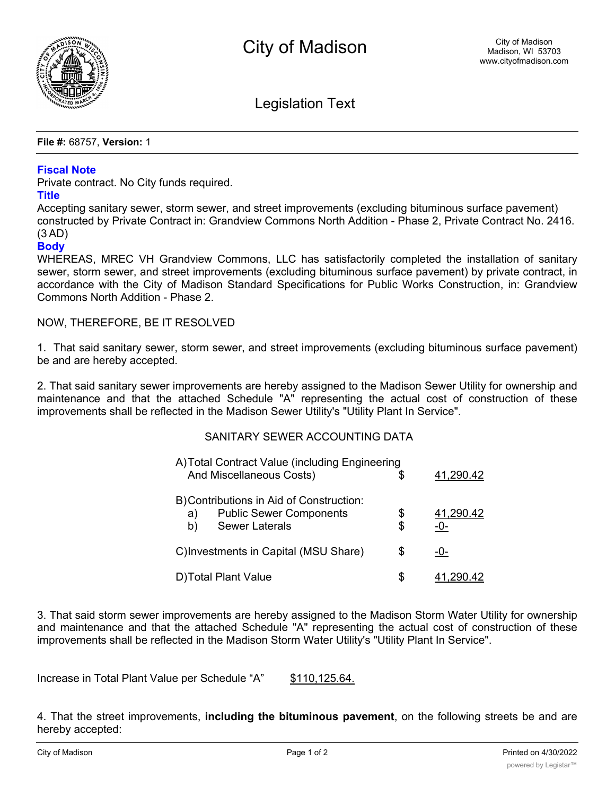

Legislation Text

**File #:** 68757, **Version:** 1

## **Fiscal Note**

Private contract. No City funds required.

## **Title**

Accepting sanitary sewer, storm sewer, and street improvements (excluding bituminous surface pavement) constructed by Private Contract in: Grandview Commons North Addition - Phase 2, Private Contract No. 2416. (3 AD)

## **Body**

WHEREAS, MREC VH Grandview Commons, LLC has satisfactorily completed the installation of sanitary sewer, storm sewer, and street improvements (excluding bituminous surface pavement) by private contract, in accordance with the City of Madison Standard Specifications for Public Works Construction, in: Grandview Commons North Addition - Phase 2.

NOW, THEREFORE, BE IT RESOLVED

1. That said sanitary sewer, storm sewer, and street improvements (excluding bituminous surface pavement) be and are hereby accepted.

2. That said sanitary sewer improvements are hereby assigned to the Madison Sewer Utility for ownership and maintenance and that the attached Schedule "A" representing the actual cost of construction of these improvements shall be reflected in the Madison Sewer Utility's "Utility Plant In Service".

## SANITARY SEWER ACCOUNTING DATA

| A) Total Contract Value (including Engineering                                                                  |          |                  |
|-----------------------------------------------------------------------------------------------------------------|----------|------------------|
| And Miscellaneous Costs)                                                                                        | \$       | 41,290.42        |
| B) Contributions in Aid of Construction:<br><b>Public Sewer Components</b><br>a)<br><b>Sewer Laterals</b><br>b) | \$<br>\$ | 41,290.42<br>-0- |
| C) Investments in Capital (MSU Share)                                                                           | S        | -0-              |
| D) Total Plant Value                                                                                            | S        | 41,290.42        |

3. That said storm sewer improvements are hereby assigned to the Madison Storm Water Utility for ownership and maintenance and that the attached Schedule "A" representing the actual cost of construction of these improvements shall be reflected in the Madison Storm Water Utility's "Utility Plant In Service".

Increase in Total Plant Value per Schedule "A" \$110,125.64.

4. That the street improvements, **including the bituminous pavement**, on the following streets be and are hereby accepted: